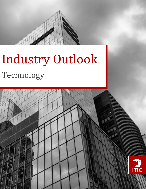

# Industry Outlook Technology

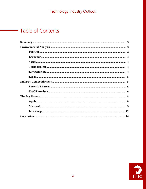# **Table of Contents**

a sa Tanzania.<br>Tanzania

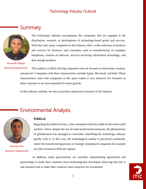# **Summary**



The technology industry encompasses the companies that are engaged in the distribution, research, or development of technology-based goods and services. With that said, many companies in this industry offer a wide collection of products and services for business' and consumers such as manufacturing of computer equipment, creation of software, services involving information technology, and data storage products.

Fernando Rangel Research Department

This industry is filled with big companies who are focused on innovation, creation, and growth. Companies with these characteristics include Apple, Microsoft, and Intel. These characteristics seen with companies in this space makes it very attractive for investors as there continues to be more potential for more growth.

In this industry outlook, we aim to provide a balanced evaluation of the industry.

# Environmental Analysis



Ricardo Pino Research Department

#### **Political**

Regarding the political factor, it has remained relatively stable in the main world markets, where, despite the rise of some protectionist measures, the phenomenon of globalization has managed to overcome, benefiting the technology industry greatly with it. In this way, the technological market is perceived worldwide, where the manufacturing process or strategic planning of companies for example are often located in different regions.

In addition, many governments are currently implementing agreements and partnerships to make their countries more technologically developed, believing that this is one essential tool to make their countries more attractive for investment.

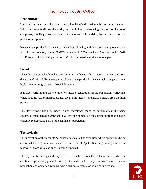#### **Economical**

Unlike many industries, the tech industry has benefited considerably from the pandemic. With confinements all over the world, the use of video conferencing platforms or the use of computers, mobile phones and others has increased substantially, leaving this industry a period of prosperity.

However, the pandemic has had negative effects globally, with increased unemployment and loss of value creation, where US GDP per capita in 2020 was by -4.3% compared to 2019 and European Union GDP per capita of -7.1%, compared with the previous year.

#### **Social**

The utilization of technology has been growing, with naturally an increase in 2020 and 2021 due to the Covid-19. But the negative effects of the pandemic are clear, with people's mental health deteriorating, a result of social distancing.

It is also worth noting the evolution of internet penetration in the population worldwide, where in 2021, 4.93 billion people actively use the internet, and in 2015 there were 3.2 billion people.

This development has been bigger in underdeveloped countries, particularly in the Asian countries which between 2010 and 2020 saw the number of users being more than double, currently representing 55% of the continent's population.

#### **Technologic**

The innovation of the technology industry has marked its evolution, where despite this being controlled by large multinationals as is the case of Apple, Samsung among others, the renewal of those who lead ends up being expected.

Thereby, the technology industry itself has benefited from the fast innovation, where in addition to producing products with greater added value, they can create more efficient production and operation systems, where business automation is a growing reality.

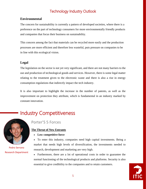#### **Environmental**

The concern for sustainability is currently a pattern of developed societies, where there is a preference on the part of technology consumers for more environmentally friendly products and companies that focus their business on sustainability.

This concern among the fact that materials can be recycled more easily and the production processes are more efficient and therefore less wasteful, puts pressure on companies to be in line with this ecological vision.

#### **Legal**

The legislation on the sector is not yet very significant, and there are not many barriers to the use and production of technological goods and services. However, there is some legal matter relating to the treatment given to the electronic waste and there is also a rise in energy consumption regulations that indirectly impact the tech industry.

It is also important to highlight the increase in the number of patents, as well as the improvement on protection they attribute, which is fundamental in an industry marked by constant innovation.

# Industry Competitiveness



Pedro Serrano Research Department

## Porter'S 5 Forces

#### **The Threat of New Entrants**

- **Low competitive force**
- To enter this industry, companies need high capital investments. Being a market that needs high levels of diversification, the investments needed to research, development and marketing are very high.
- Furthermore, there are a lot of operational costs in order to guarantee the normal functioning of the technological products and platforms. Security is also essential to give credibility to the companies and to retain customers.

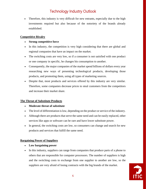• Therefore, this industry is very difficult for new entrants, especially due to the high investments required but also because of the notoriety of the brands already established.

#### **Competitive Rivalry**

- **Strong competitive force**
- In this industry, the competition is very high considering that there are global and regional companies that have an impact on the market.
- The switching costs are very low, so if a consumer is not satisfied with one product or one company in specific, he changes his consumption to another.
- Consequently, the major companies of the market spend billions of dollars every year researching new ways of presenting technological products, developing those products, and promoting them, using all types of marketing sources.
- Despite that, most products and services offered by this industry are very similar. Therefore, some companies decrease prices to steal customers from the competitors and increase their market share.

#### **The Threat of Substitute Products**

- **Moderate threat of substitute**
- The level of differentiation is low, depending on the product or service of the industry.
- Although there are products that serve the same need and can be easily replaced, other services like apps or software can be rare and have lower substitute power.
- In general, the switching costs are low, so consumers can change and search for new products and services that fulfill the same need.

#### **Bargaining Power of Suppliers**

- **Low bargaining power**
- In this industry, suppliers can range from companies that produce parts of a phone to others that are responsible for computer processors. The number of suppliers is high and the switching costs to exchange from one supplier to another are low, so the suppliers are very afraid of losing contracts with the big brands of the market.

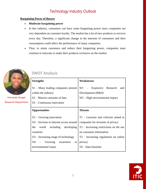#### **Bargaining Power of Buyers**

- **Moderate bargaining power**
- In this industry, consumers can have some bargaining power since companies are very dependent on customer loyalty. The market has a lot of new products or services every day. Therefore, a significant change in the interests of consumers and their consumption could affect the performance of many companies.
- Thus, to retain customers and reduce their bargaining power, companies must continue to innovate to make their products exclusive on the market.



Fernando Rangel Research Department

## SWOT Analysis

| <b>Strengths</b>                                    | <b>Weaknesses</b>                         |
|-----------------------------------------------------|-------------------------------------------|
| $S1 -$ Many leading companies present               | $W1$ – Expensive Research<br>and          |
| within the industry                                 | Development $(R&D)$                       |
| S <sub>2</sub> – Massive amounts of data            | $W2 - High environmental impact$          |
| $S3$ – Continuous innovation                        |                                           |
| <b>Opportunities</b>                                | <b>Threats</b>                            |
| $O1 -$ Growing innovation                           | $T1 -$ Lawsuits and criticism aimed at    |
| O <sub>2</sub> – Increase in internet access around | companies for invasion of privacy         |
| the world including developing                      | $T2$ – Increasing restrictions on the use |
| countries                                           | on consumer information                   |
| $O3$ – Increasing usage of technology               | $T3$ – Increasing regulations on online   |
| $O4 -$ Growing awareness<br>to l                    | privacy                                   |
| environmental issues                                | $T4 - Data$ breaches                      |

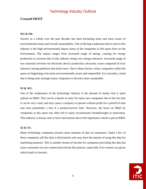#### **Crossed SWOT**

#### **W2 & O4:**

Society as a whole over the past decades has been becoming more and more aware of environmental issues and overall sustainability. One of the big weaknesses that is seen in this industry is the high environmental impact many of the companies in this space have on the environment. The impact ranges from increased usage of energy, causing for energy production to increase due to this industry being very energy-intensive, increased usage of raw materials overtime for electronic device production, electronic waste composed of toxic material causing pollution and much more. Due to these factors, many companies within the space are beginning to be more environmentally aware and responsible. It is currently a trend that is being seen amongst many companies to become more sustainable.

#### **S3 & W1:**

One of the weaknesses of the technology industry is the amount of money that is spent upfront on R&D. This can be a barrier to entry for many new companies due to the fact that it can be very costly and may cause a company to operate without profit for a period of time and even potentially a loss if a product/service fails. However, the focus on R&D by companies in this space has often led to many revolutionary breakthroughs in innovation. This industry is always seen to have innovations due to the importance which is put on R&D.

#### **S2 & T1:**

Many technology companies possess mass amounts of data on consumers. Quite a few of these companies sell this data to third parties who may have the interest of using this data for marketing purposes. This is another stream of income for companies providing this data but many consumers are not content and criticize this practice, especially if no consent was given which leads to lawsuits.

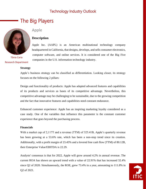# The Big Players



Tânia Caria Research Department

## Apple

#### **Description**

Apple Inc. (AAPL) is an American multinational technology company headquartered in California, that designs, develops, and sells consumer electronics, computer software, and online services. It is considered one of the Big Five companies in the U.S. information technology industry.

#### **Strategy**

Apple's business strategy can be classified as differentiation. Looking closer, its strategy focuses on the following 2 pillars:

Design and functionality of products: Apple has adapted advanced features and capabilities of its products and services as bases of its competitive advantage. Nevertheless, this competitive advantage may be challenging to be sustainable, due to the growing competition and the fact that innovative features and capabilities need constant endurance.

Enhanced customer experience: Apple has an inspiring marketing loyalty considered as a case study. One of the variables that influence this parameter is the constant customer experience that goes beyond the purchasing process.

#### **Financials**

With a market cap of 2,117T and a revenue (TTM) of 325.41B, Apple's quarterly revenue has been growing at a 53.6% rate, which has been a non-stop trend since its creation. Additionally, with a profit margin of 23.45% and a levered free cash flow (TTM) of 80.12B, their Enterprise Value/EBITDA is 22.29.

Analysts' consensus is that for 2022, Apple will grow around 4.2% in annual revenue. The current ROA has shown an upward trend with a value of 22.91% that has increased 32.4% since Q2 of 2020. Simultaneously, the ROE, grew 73.4% in a year, amounting to 111.8% in Q2 of 2021.

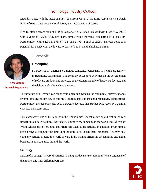Liquidity-wise, with the latest quarterly data from March 27th, 2021, Apple shows a Quick Ratio of 0.66x, a Current Ratio of 1.14x, and a Cash Ratio of 0.66x.

Finally, after a record high of \$145 in January, Apple's stock closed today (10th May 2021) with a value of 126.85 USD per share, almost twice the value comparing it to last year. Furthermore, with a EPS (TTM) of 4.45 and a P/E (TTM) of 28.51, analysts point to a potential for upside with the lowest forecast of \$62.5 and the highest at \$185.



Pedro Serrano Research Department

## Microsoft

#### **Description**

Microsoft is an American technology company, founded in 1975 with headquarters in Redmond, Washington. The company focuses its activities on the development of software products and services, on the design and sale of hardware devices, and the delivery of online advertisements.

The products of Microsoft can range from operating systems for computers, servers, phones or other intelligent devices, to business solution applications and productivity applications. Furthermore, the company also sells hardware devices, like Surface Pro, Xbox 360 gaming console, and accessories.

This company is one of the biggest in the technological industry, having a direct or indirect impact on our daily routines. Nowadays, almost every company in the world uses Microsoft Word, Microsoft PowerPoint, and Microsoft Excel to its activity. In addition, every time a person buys a computer the first thing he does is to install these programs. Thereby, this company activity around the world is very high, having offices in 96 countries and doing business in 170 countries around the world.

#### **Strategy**

Microsoft's strategy is very diversified, having products or services in different segments of the market and with different purposes.

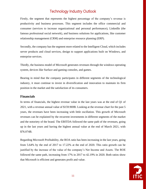Firstly, the segment that represents the highest percentage of the company's revenue is productivity and business processes. This segment includes the office commercial and consumer (services to increase organizational and personal performance), LinkedIn (the famous professional social network), and business solutions for applications, like customer relationship management (CRM) and enterprise resource planning (ERP).

Secondly, the company has the segment more related to the Intelligent Cloud, which includes server products and cloud services, design to support applications built on Windows, and enterprise services.

Thirdly, the business model of Microsoft generates revenues through the windows operating system, devices like Surface and gaming consoles, and games.

Bearing in mind that the company participates in different segments of the technological industry, it must continue to invest in diversification and innovation to maintain its firm position in the market and the satisfaction of its consumers.

#### **Financials**

In terms of financials, the highest revenue value in the last years was at the end of Q1 of 2021, with a revenue annual value of \$159.969B. Looking at the revenue chart for the past 5 years, the revenues have been increasing with little oscillation. This growth of Microsoft revenues can be explained by the recurrent investments in different segments of the market and the notoriety of the brand. The EBITDA followed the same path of the revenues, going up in the last years and having the highest annual value at the end of March 2021, with \$76.074B.

Regarding Microsoft Profitability, the ROA ratio has been increasing in the last years, going from 5.64% by the end of 2017 to 17.22% at the end of 2020. This ratio growth can be justified by the increase of the value of the company's Net Income and Assets. The ROE followed the same path, increasing from 17% in 2017 to 42.19% in 2020. Both ratios show that Microsoft is efficient and generates profit and value.

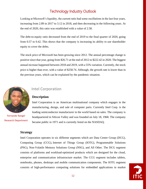Looking at Microsoft's liquidity, the current ratio had some oscillations in the last four years, increasing from 2.89 in 2017 to 3.12 in 2018, and then decreasing in the following years. At the end of 2020, this ratio was established with a value of 2.58.

The debt-to-equity ratio decreased from the end of 2019 to the final quarter of 2020, going from 0.57 to 0.42. This shows that the company is increasing its ability to use shareholder equity to cover the debts.

The stock price of Microsoft has been growing since 2012. The annual percentage change is positive since that year, going from \$26.71 at the end of 2012 to \$222.42 in 2020. The biggest annual increase happened between 2018 and 2019, with a 55% variation. Currently, the stock price is higher than ever, with a value of \$258.74. Although, the growth rate is lower than in the previous years, which can be explained by the pandemic situation.



Fernando Rangel Research Department

## Intel Corporation

#### **Description**

Intel Corporation is an American multinational company which engages in the manufacturing, design, and sale of computer parts. Currently Intel Corp. is the leading semiconductor manufacturer in the world based on sales. The company is headquartered in Silicon Valley and was founded on July 18, 1968. The company became public in 1971 and is currently listed on the NASDAQ.

#### **Strategy**

Intel Corporation operates in six different segments which are Data Center Group (DCG), Computing Group (CCG), Internet of Things Group (IOTG), Programmable Solutions (PSG), Non-Volatile Memory Solutions Group (NSG), and All Other. The DCG segment consists of platforms and workload-optimized products which are designed for the cloud, enterprise and communication infrastructure market. The CCG segment includes tablets, notebooks, phones, desktops and mobile communication components. The IOTG segment consists of high-performance computing solutions for embedded applications in market

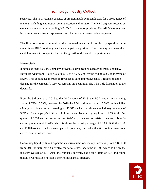segments. The PSG segment consists of programmable semiconductors for a broad range of markets, including automotive, communication and military. The NSG segment focuses on storage and memory by providing NAND flash memory products. The All Others segment includes all results from corporate-related charges and non-reportable segments.

The firm focuses on continual product innovation and archives this by spending large amounts on R&D to strengthen their competitive position. The company also uses their capital to invest in companies that aid the growth of data-centric opportunities.

#### **Financials**

In terms of financials, the company's revenues have been on a steady increase annually. Revenues went from \$59,387,000 in 2017 to \$77,867,000 by the end of 2020, an increase of 86.8%. This continuous increase in revenues is quite impressive since it reflects that the demand for the company's services remains on a continual rise with little fluctuation to the downside.

From the 3rd quarter of 2016 to the third quarter of 2018, the ROA was mainly roaming around 9.73%-10.53%, however, by 2020 the ROA had increased to 16.59% but has fallen slightly and is currently operating at 12.37% which is above the industry average of 3.77%. The company's ROE also followed a similar route, going from 18.97% in the 3rd quarter of 2018 and increasing up to 30.42% by then end of 2020. However, this ratio currently operates at 23.44% which is above the industry average of 7.29%. Both the ROA and ROE have increased when compared to previous years and both ratios continue to operate above their industry's mean.

Concerning liquidity, Intel Corporation's current ratio was mainly fluctuating from 2.16-1.20 from 2017 up until now. Currently, the ratio is now operating at 1.90 which is below the industry average of 2.34. Also, the company currently has a quick ratio of 1.54, indicating that Intel Corporation has good short-term financial strength.

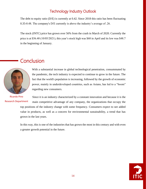The debt to equity ratio (D/E) is currently at 0.42. Since 2018 this ratio has been fluctuating 0.35-0.48. The company's D/E currently is above the industry's average of .26.

The stock (INTC) price has grown over 56% from the crash in March of 2020. Currently the price is at \$56.40 (10/05/2021), this year's stock high was \$68 in April and its low was \$48.7 in the beginning of January.

# **Conclusion**



With a substantial increase in global technological penetration, consummated by the pandemic, the tech industry is expected to continue to grow in the future. The fact that the world's population is increasing, followed by the growth of economic power, mainly in underdeveloped countries, such as Asians, has led to a "boom" regarding new consumers.

Ricardo Pino Research Department

Since it is an industry characterized by a constant innovation and because it is the main competitive advantage of any company, the organizations that occupy the top positions of the industry change with some frequency. Consumers expect to see added value in products, as well as a concern for environmental sustainability, a trend that has grown in the last years.

In this way, this is one of the industries that has grown the most in this century and with even a greater growth potential in the future.